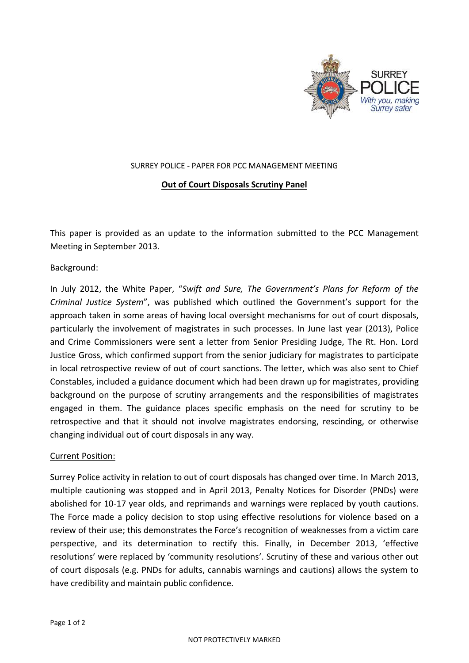

## SURREY POLICE - PAPER FOR PCC MANAGEMENT MEETING

## **Out of Court Disposals Scrutiny Panel**

This paper is provided as an update to the information submitted to the PCC Management Meeting in September 2013.

## Background:

In July 2012, the White Paper, "*Swift and Sure, The Government's Plans for Reform of the Criminal Justice System*", was published which outlined the Government's support for the approach taken in some areas of having local oversight mechanisms for out of court disposals, particularly the involvement of magistrates in such processes. In June last year (2013), Police and Crime Commissioners were sent a letter from Senior Presiding Judge, The Rt. Hon. Lord Justice Gross, which confirmed support from the senior judiciary for magistrates to participate in local retrospective review of out of court sanctions. The letter, which was also sent to Chief Constables, included a guidance document which had been drawn up for magistrates, providing background on the purpose of scrutiny arrangements and the responsibilities of magistrates engaged in them. The guidance places specific emphasis on the need for scrutiny to be retrospective and that it should not involve magistrates endorsing, rescinding, or otherwise changing individual out of court disposals in any way.

## Current Position:

Surrey Police activity in relation to out of court disposals has changed over time. In March 2013, multiple cautioning was stopped and in April 2013, Penalty Notices for Disorder (PNDs) were abolished for 10-17 year olds, and reprimands and warnings were replaced by youth cautions. The Force made a policy decision to stop using effective resolutions for violence based on a review of their use; this demonstrates the Force's recognition of weaknesses from a victim care perspective, and its determination to rectify this. Finally, in December 2013, 'effective resolutions' were replaced by 'community resolutions'. Scrutiny of these and various other out of court disposals (e.g. PNDs for adults, cannabis warnings and cautions) allows the system to have credibility and maintain public confidence.